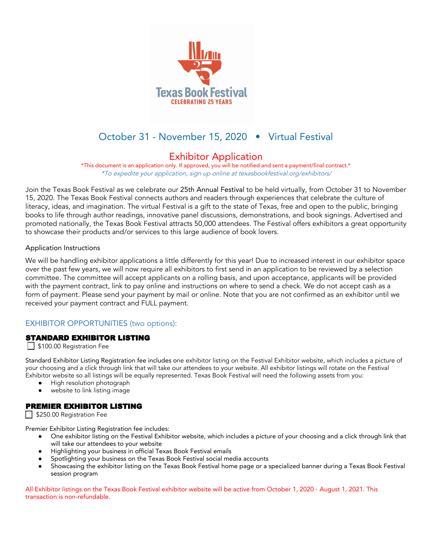

# October 31 - November 15, 2020 • Virtual Festival

# Exhibitor Application

\*This document is an application only. If approved, you will be notified and sent a payment/final contract.\* \*To expedite your application, sign up online at texasbookfestival.org/exhibitors/

Join the Texas Book Festival as we celebrate our 25th Annual Festival to be held virtually, from October 31 to November 15, 2020. The Texas Book Festival connects authors and readers through experiences that celebrate the culture of literacy, ideas, and imagination. The virtual Festival is a gift to the state of Texas, free and open to the public, bringing books to life through author readings, innovative panel discussions, demonstrations, and book signings. Advertised and promoted nationally, the Texas Book Festival attracts 50,000 attendees. The Festival offers exhibitors a great opportunity to showcase their products and/or services to this large audience of book lovers.

#### Application Instructions

We will be handling exhibitor applications a little differently for this year! Due to increased interest in our exhibitor space over the past few years, we will now require all exhibitors to first send in an application to be reviewed by a selection committee. The committee will accept applicants on a rolling basis, and upon acceptance, applicants will be provided with the payment contract, link to pay online and instructions on where to send a check. We do not accept cash as a form of payment. Please send your payment by mail or online. Note that you are not confirmed as an exhibitor until we received your payment contract and FULL payment.

# EXHIBITOR OPPORTUNITIES (two options):

#### STANDARD EXHIBITOR LISTING

\$100.00 Registration Fee

Standard Exhibitor Listing Registration fee includes one exhibitor listing on the Festival Exhibitor website, which includes a picture of your choosing and a click through link that will take our attendees to your website. All exhibitor listings will rotate on the Festival Exhibitor website so all listings will be equally represented. Texas Book Festival will need the following assets from you:

- High resolution photograph
- website to link listing image

# PREMIER EXHIBITOR LISTING

\$250.00 Registration Fee

Premier Exhibitor Listing Registration fee includes:

- **●** One exhibitor listing on the Festival Exhibitor website, which includes a picture of your choosing and a click through link that will take our attendees to your website
- **●** Highlighting your business in official Texas Book Festival emails
- **●** Spotlighting your business on the Texas Book Festival social media accounts
- **●** Showcasing the exhibitor listing on the Texas Book Festival home page or a specialized banner during a Texas Book Festival session program

All Exhibitor listings on the Texas Book Festival exhibitor website will be active from October 1, 2020 - August 1, 2021. This transaction is non-refundable.